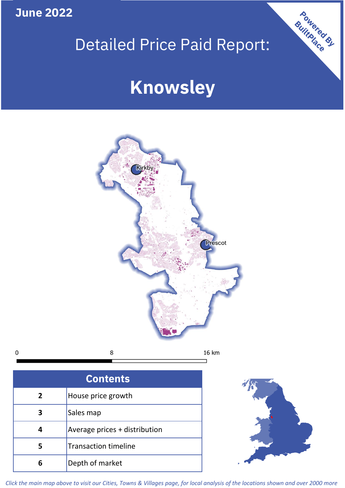**June 2022**

 $\mathbf 0$ 

# Detailed Price Paid Report:

# **Knowsley**



| <b>Contents</b> |                               |  |  |
|-----------------|-------------------------------|--|--|
| $\overline{2}$  | House price growth            |  |  |
| 3               | Sales map                     |  |  |
|                 | Average prices + distribution |  |  |
| 5               | <b>Transaction timeline</b>   |  |  |
|                 | Depth of market               |  |  |



Powered By

*Click the main map above to visit our Cities, Towns & Villages page, for local analysis of the locations shown and over 2000 more*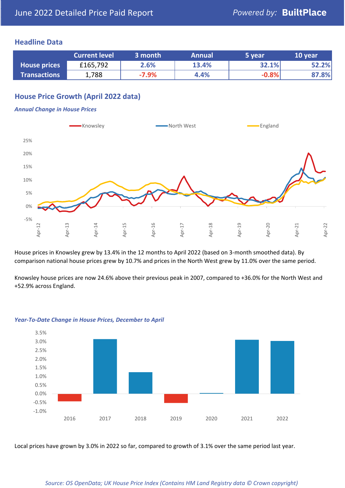### **Headline Data**

|                     | <b>Current level</b> | 3 month | <b>Annual</b> | 5 year  | 10 year |
|---------------------|----------------------|---------|---------------|---------|---------|
| <b>House prices</b> | £165,792             | 2.6%    | 13.4%         | 32.1%   | 52.2%   |
| <b>Transactions</b> | 1,788                | $-7.9%$ | 4.4%          | $-0.8%$ | 87.8%   |

## **House Price Growth (April 2022 data)**

#### *Annual Change in House Prices*



House prices in Knowsley grew by 13.4% in the 12 months to April 2022 (based on 3-month smoothed data). By comparison national house prices grew by 10.7% and prices in the North West grew by 11.0% over the same period.

Knowsley house prices are now 24.6% above their previous peak in 2007, compared to +36.0% for the North West and +52.9% across England.



#### *Year-To-Date Change in House Prices, December to April*

Local prices have grown by 3.0% in 2022 so far, compared to growth of 3.1% over the same period last year.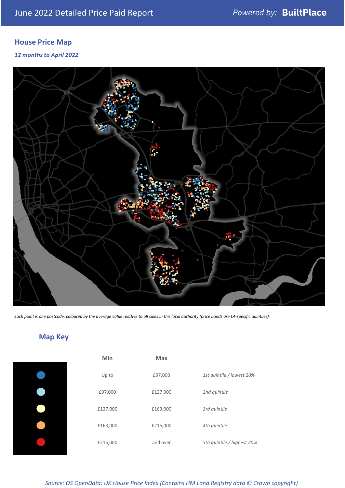## **House Price Map**

*12 months to April 2022*



*Each point is one postcode, coloured by the average value relative to all sales in this local authority (price bands are LA-specific quintiles).*

# **Map Key**

| Min      | Max      |                            |
|----------|----------|----------------------------|
| Up to    | £97,000  | 1st quintile / lowest 20%  |
| £97,000  | £127,000 | 2nd quintile               |
| £127,000 | £163,000 | 3rd quintile               |
| £163,000 | £215,000 | 4th quintile               |
| £215,000 | and over | 5th quintile / highest 20% |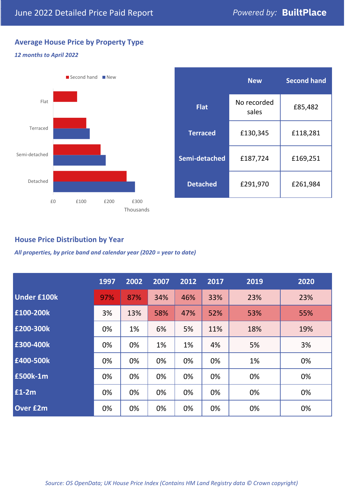## **Average House Price by Property Type**

### *12 months to April 2022*



## **House Price Distribution by Year**

*All properties, by price band and calendar year (2020 = year to date)*

|                    | 1997 | 2002 | 2007 | 2012 | 2017 | 2019 | 2020 |
|--------------------|------|------|------|------|------|------|------|
| <b>Under £100k</b> | 97%  | 87%  | 34%  | 46%  | 33%  | 23%  | 23%  |
| £100-200k          | 3%   | 13%  | 58%  | 47%  | 52%  | 53%  | 55%  |
| E200-300k          | 0%   | 1%   | 6%   | 5%   | 11%  | 18%  | 19%  |
| E300-400k          | 0%   | 0%   | 1%   | 1%   | 4%   | 5%   | 3%   |
| £400-500k          | 0%   | 0%   | 0%   | 0%   | 0%   | 1%   | 0%   |
| <b>£500k-1m</b>    | 0%   | 0%   | 0%   | 0%   | 0%   | 0%   | 0%   |
| £1-2m              | 0%   | 0%   | 0%   | 0%   | 0%   | 0%   | 0%   |
| <b>Over £2m</b>    | 0%   | 0%   | 0%   | 0%   | 0%   | 0%   | 0%   |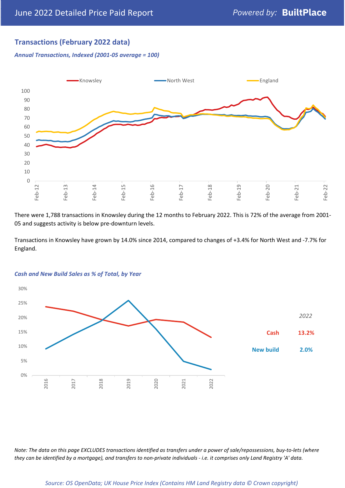## **Transactions (February 2022 data)**

*Annual Transactions, Indexed (2001-05 average = 100)*



There were 1,788 transactions in Knowsley during the 12 months to February 2022. This is 72% of the average from 2001- 05 and suggests activity is below pre-downturn levels.

Transactions in Knowsley have grown by 14.0% since 2014, compared to changes of +3.4% for North West and -7.7% for England.



#### *Cash and New Build Sales as % of Total, by Year*

*Note: The data on this page EXCLUDES transactions identified as transfers under a power of sale/repossessions, buy-to-lets (where they can be identified by a mortgage), and transfers to non-private individuals - i.e. it comprises only Land Registry 'A' data.*